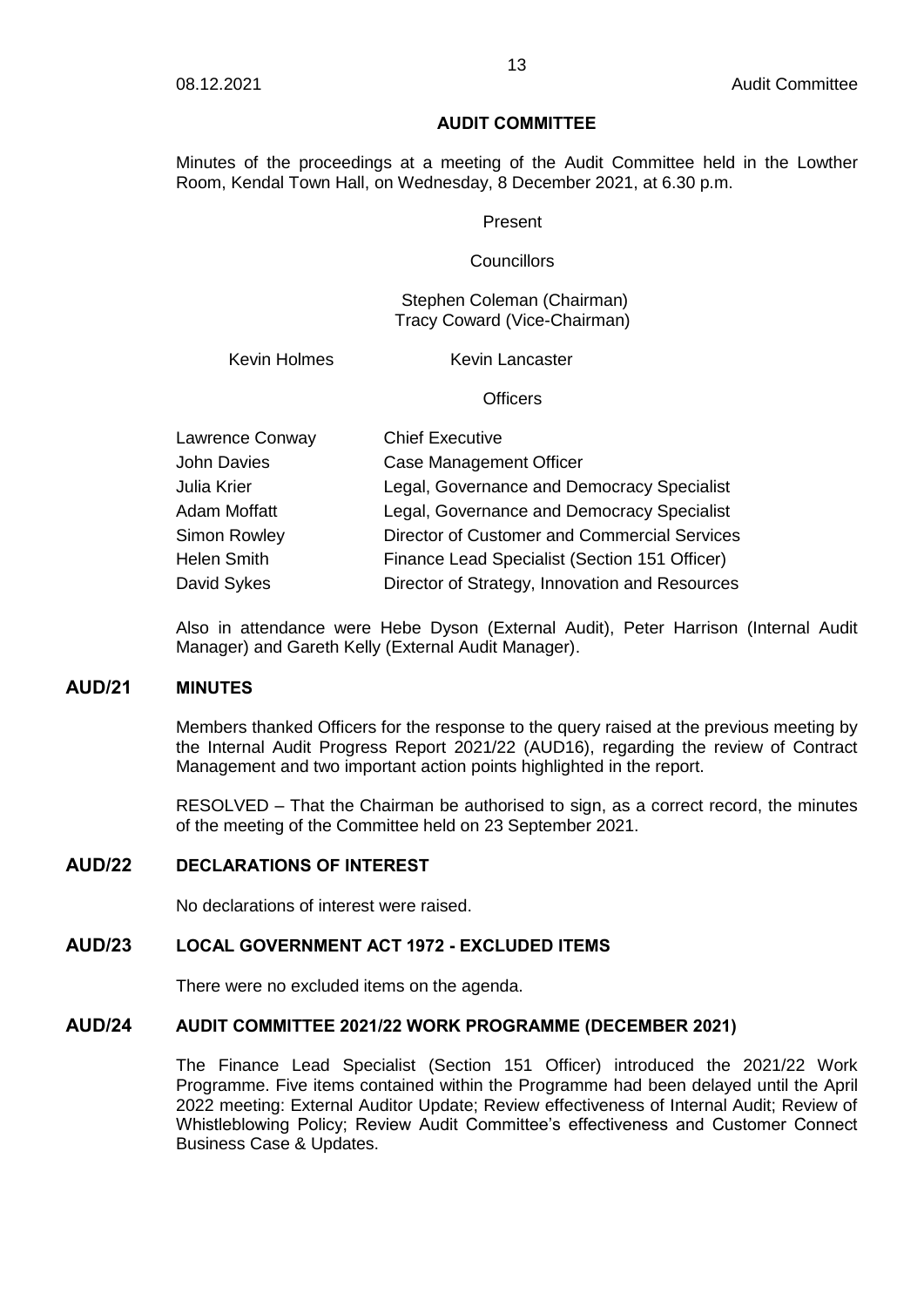#### **AUDIT COMMITTEE**

Minutes of the proceedings at a meeting of the Audit Committee held in the Lowther Room, Kendal Town Hall, on Wednesday, 8 December 2021, at 6.30 p.m.

#### Present

#### **Councillors**

Stephen Coleman (Chairman) Tracy Coward (Vice-Chairman)

Kevin Holmes Kevin Lancaster

**Officers** 

| Lawrence Conway     | <b>Chief Executive</b>                         |
|---------------------|------------------------------------------------|
| <b>John Davies</b>  | <b>Case Management Officer</b>                 |
| Julia Krier         | Legal, Governance and Democracy Specialist     |
| Adam Moffatt        | Legal, Governance and Democracy Specialist     |
| <b>Simon Rowley</b> | Director of Customer and Commercial Services   |
| <b>Helen Smith</b>  | Finance Lead Specialist (Section 151 Officer)  |
| David Sykes         | Director of Strategy, Innovation and Resources |

Also in attendance were Hebe Dyson (External Audit), Peter Harrison (Internal Audit Manager) and Gareth Kelly (External Audit Manager).

### **AUD/21 MINUTES**

Members thanked Officers for the response to the query raised at the previous meeting by the Internal Audit Progress Report 2021/22 (AUD16), regarding the review of Contract Management and two important action points highlighted in the report.

RESOLVED – That the Chairman be authorised to sign, as a correct record, the minutes of the meeting of the Committee held on 23 September 2021.

## **AUD/22 DECLARATIONS OF INTEREST**

No declarations of interest were raised.

### **AUD/23 LOCAL GOVERNMENT ACT 1972 - EXCLUDED ITEMS**

There were no excluded items on the agenda.

#### **AUD/24 AUDIT COMMITTEE 2021/22 WORK PROGRAMME (DECEMBER 2021)**

The Finance Lead Specialist (Section 151 Officer) introduced the 2021/22 Work Programme. Five items contained within the Programme had been delayed until the April 2022 meeting: External Auditor Update; Review effectiveness of Internal Audit; Review of Whistleblowing Policy; Review Audit Committee's effectiveness and Customer Connect Business Case & Updates.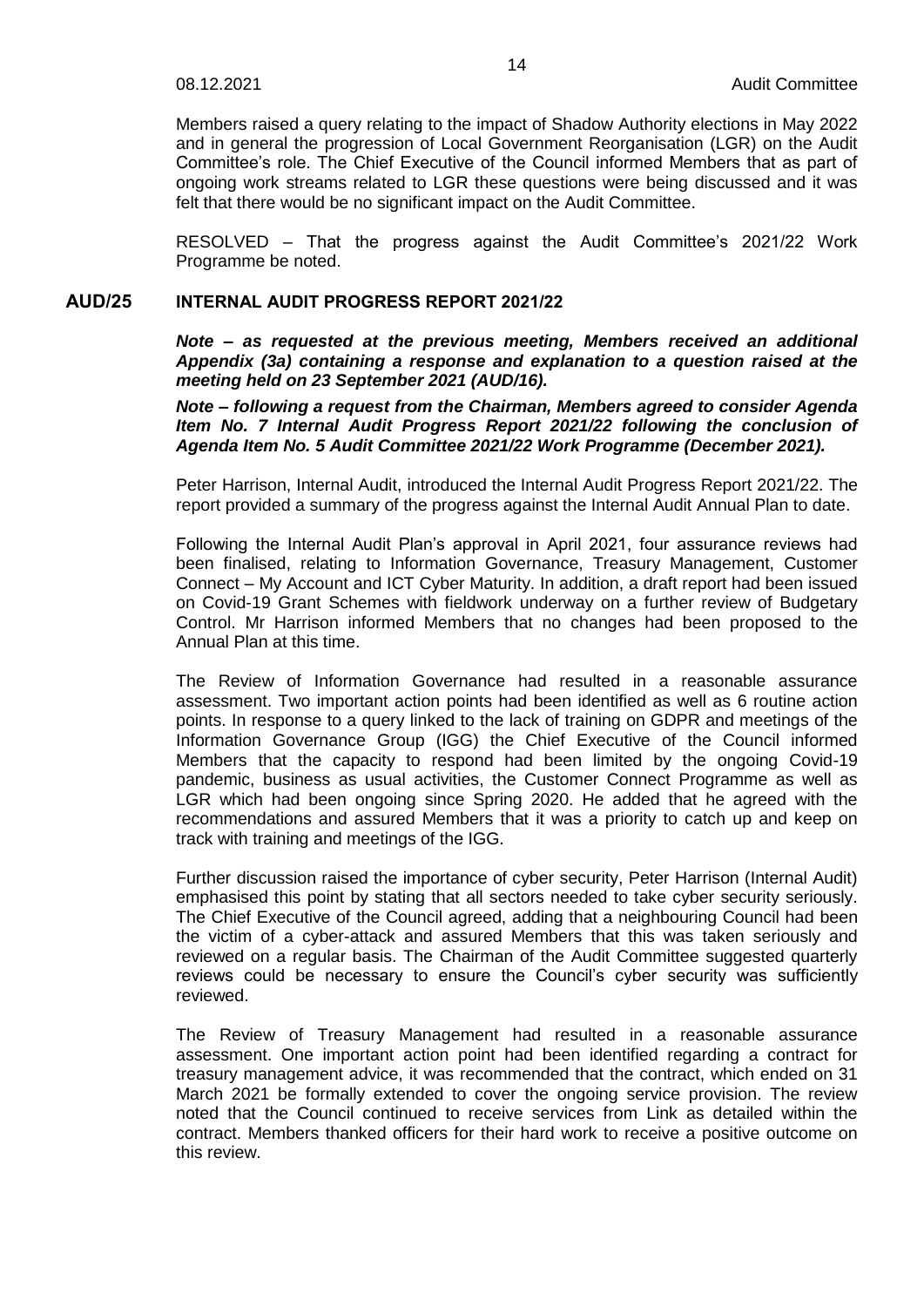Members raised a query relating to the impact of Shadow Authority elections in May 2022 and in general the progression of Local Government Reorganisation (LGR) on the Audit Committee's role. The Chief Executive of the Council informed Members that as part of ongoing work streams related to LGR these questions were being discussed and it was felt that there would be no significant impact on the Audit Committee.

RESOLVED – That the progress against the Audit Committee's 2021/22 Work Programme be noted.

### **AUD/25 INTERNAL AUDIT PROGRESS REPORT 2021/22**

*Note – as requested at the previous meeting, Members received an additional Appendix (3a) containing a response and explanation to a question raised at the meeting held on 23 September 2021 (AUD/16).*

*Note – following a request from the Chairman, Members agreed to consider Agenda Item No. 7 Internal Audit Progress Report 2021/22 following the conclusion of Agenda Item No. 5 Audit Committee 2021/22 Work Programme (December 2021).*

Peter Harrison, Internal Audit, introduced the Internal Audit Progress Report 2021/22. The report provided a summary of the progress against the Internal Audit Annual Plan to date.

Following the Internal Audit Plan's approval in April 2021, four assurance reviews had been finalised, relating to Information Governance, Treasury Management, Customer Connect – My Account and ICT Cyber Maturity. In addition, a draft report had been issued on Covid-19 Grant Schemes with fieldwork underway on a further review of Budgetary Control. Mr Harrison informed Members that no changes had been proposed to the Annual Plan at this time.

The Review of Information Governance had resulted in a reasonable assurance assessment. Two important action points had been identified as well as 6 routine action points. In response to a query linked to the lack of training on GDPR and meetings of the Information Governance Group (IGG) the Chief Executive of the Council informed Members that the capacity to respond had been limited by the ongoing Covid-19 pandemic, business as usual activities, the Customer Connect Programme as well as LGR which had been ongoing since Spring 2020. He added that he agreed with the recommendations and assured Members that it was a priority to catch up and keep on track with training and meetings of the IGG.

Further discussion raised the importance of cyber security, Peter Harrison (Internal Audit) emphasised this point by stating that all sectors needed to take cyber security seriously. The Chief Executive of the Council agreed, adding that a neighbouring Council had been the victim of a cyber-attack and assured Members that this was taken seriously and reviewed on a regular basis. The Chairman of the Audit Committee suggested quarterly reviews could be necessary to ensure the Council's cyber security was sufficiently reviewed.

The Review of Treasury Management had resulted in a reasonable assurance assessment. One important action point had been identified regarding a contract for treasury management advice, it was recommended that the contract, which ended on 31 March 2021 be formally extended to cover the ongoing service provision. The review noted that the Council continued to receive services from Link as detailed within the contract. Members thanked officers for their hard work to receive a positive outcome on this review.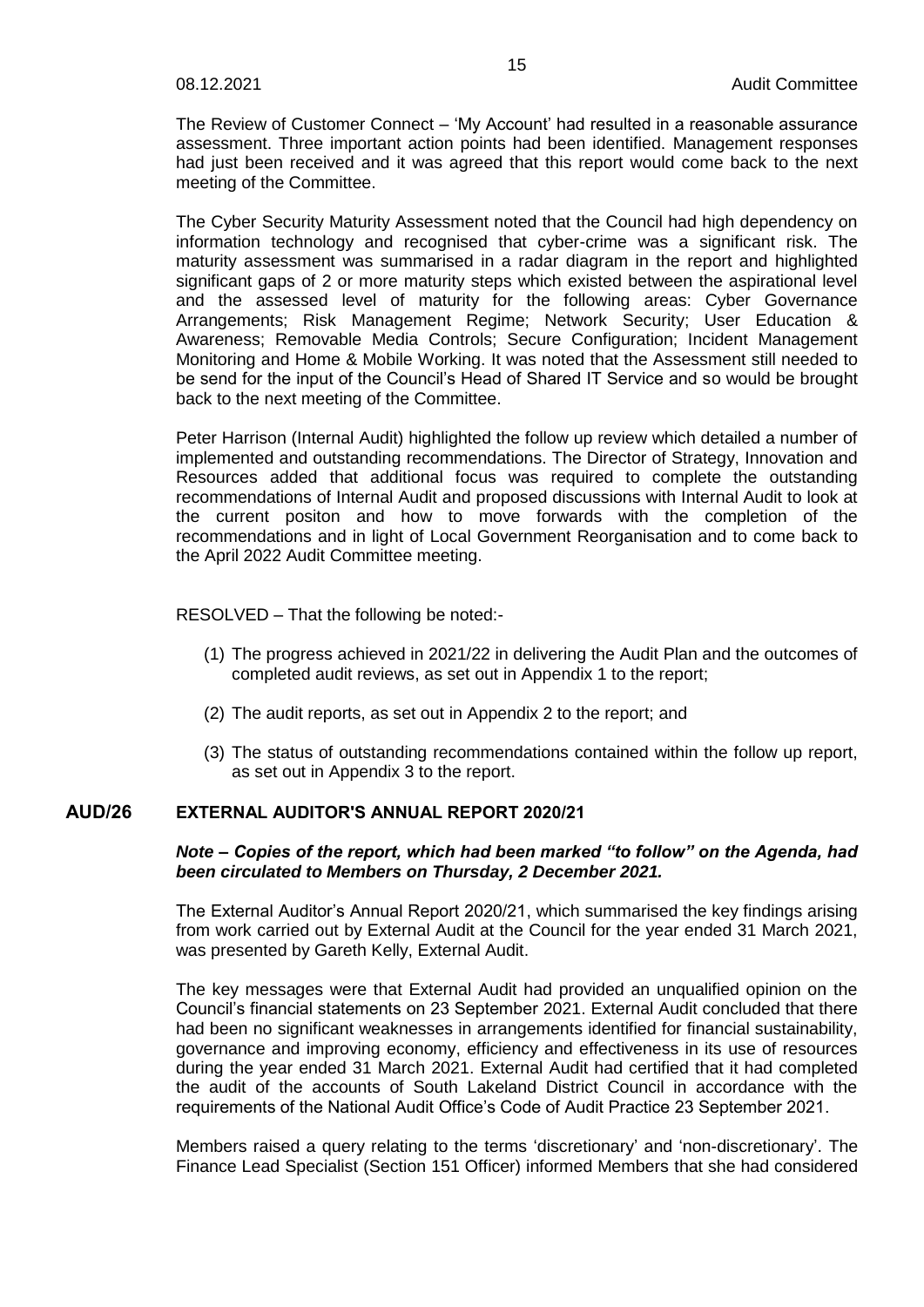The Review of Customer Connect – 'My Account' had resulted in a reasonable assurance assessment. Three important action points had been identified. Management responses had just been received and it was agreed that this report would come back to the next meeting of the Committee.

The Cyber Security Maturity Assessment noted that the Council had high dependency on information technology and recognised that cyber-crime was a significant risk. The maturity assessment was summarised in a radar diagram in the report and highlighted significant gaps of 2 or more maturity steps which existed between the aspirational level and the assessed level of maturity for the following areas: Cyber Governance Arrangements; Risk Management Regime; Network Security; User Education & Awareness; Removable Media Controls; Secure Configuration; Incident Management Monitoring and Home & Mobile Working. It was noted that the Assessment still needed to be send for the input of the Council's Head of Shared IT Service and so would be brought back to the next meeting of the Committee.

Peter Harrison (Internal Audit) highlighted the follow up review which detailed a number of implemented and outstanding recommendations. The Director of Strategy, Innovation and Resources added that additional focus was required to complete the outstanding recommendations of Internal Audit and proposed discussions with Internal Audit to look at the current positon and how to move forwards with the completion of the recommendations and in light of Local Government Reorganisation and to come back to the April 2022 Audit Committee meeting.

RESOLVED – That the following be noted:-

- (1) The progress achieved in 2021/22 in delivering the Audit Plan and the outcomes of completed audit reviews, as set out in Appendix 1 to the report;
- (2) The audit reports, as set out in Appendix 2 to the report; and
- (3) The status of outstanding recommendations contained within the follow up report, as set out in Appendix 3 to the report.

# **AUD/26 EXTERNAL AUDITOR'S ANNUAL REPORT 2020/21**

### *Note – Copies of the report, which had been marked "to follow" on the Agenda, had been circulated to Members on Thursday, 2 December 2021.*

The External Auditor's Annual Report 2020/21, which summarised the key findings arising from work carried out by External Audit at the Council for the year ended 31 March 2021, was presented by Gareth Kelly, External Audit.

The key messages were that External Audit had provided an unqualified opinion on the Council's financial statements on 23 September 2021. External Audit concluded that there had been no significant weaknesses in arrangements identified for financial sustainability, governance and improving economy, efficiency and effectiveness in its use of resources during the year ended 31 March 2021. External Audit had certified that it had completed the audit of the accounts of South Lakeland District Council in accordance with the requirements of the National Audit Office's Code of Audit Practice 23 September 2021.

Members raised a query relating to the terms 'discretionary' and 'non-discretionary'. The Finance Lead Specialist (Section 151 Officer) informed Members that she had considered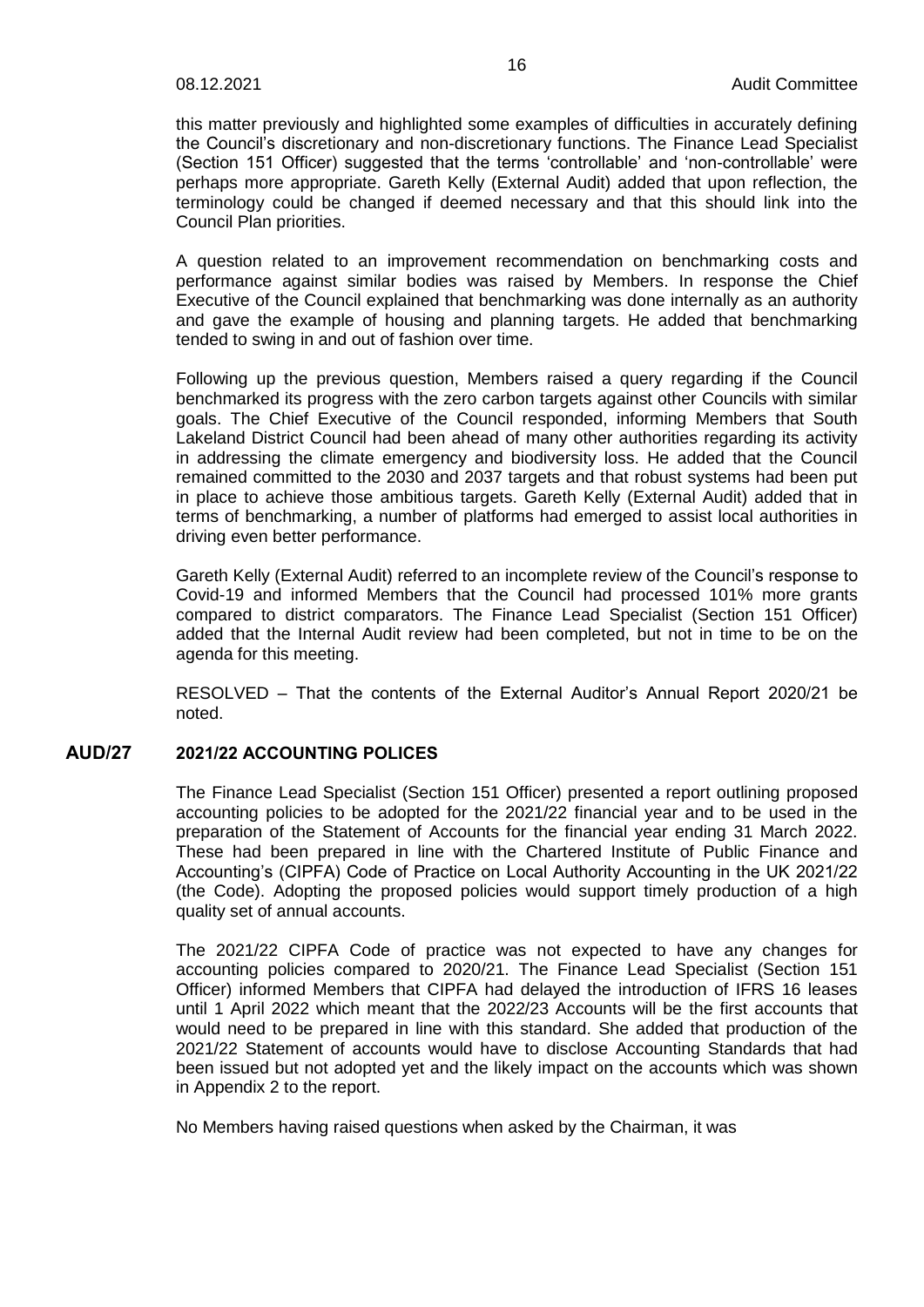this matter previously and highlighted some examples of difficulties in accurately defining the Council's discretionary and non-discretionary functions. The Finance Lead Specialist (Section 151 Officer) suggested that the terms 'controllable' and 'non-controllable' were perhaps more appropriate. Gareth Kelly (External Audit) added that upon reflection, the terminology could be changed if deemed necessary and that this should link into the Council Plan priorities.

A question related to an improvement recommendation on benchmarking costs and performance against similar bodies was raised by Members. In response the Chief Executive of the Council explained that benchmarking was done internally as an authority and gave the example of housing and planning targets. He added that benchmarking tended to swing in and out of fashion over time.

Following up the previous question, Members raised a query regarding if the Council benchmarked its progress with the zero carbon targets against other Councils with similar goals. The Chief Executive of the Council responded, informing Members that South Lakeland District Council had been ahead of many other authorities regarding its activity in addressing the climate emergency and biodiversity loss. He added that the Council remained committed to the 2030 and 2037 targets and that robust systems had been put in place to achieve those ambitious targets. Gareth Kelly (External Audit) added that in terms of benchmarking, a number of platforms had emerged to assist local authorities in driving even better performance.

Gareth Kelly (External Audit) referred to an incomplete review of the Council's response to Covid-19 and informed Members that the Council had processed 101% more grants compared to district comparators. The Finance Lead Specialist (Section 151 Officer) added that the Internal Audit review had been completed, but not in time to be on the agenda for this meeting.

RESOLVED – That the contents of the External Auditor's Annual Report 2020/21 be noted.

## **AUD/27 2021/22 ACCOUNTING POLICES**

The Finance Lead Specialist (Section 151 Officer) presented a report outlining proposed accounting policies to be adopted for the 2021/22 financial year and to be used in the preparation of the Statement of Accounts for the financial year ending 31 March 2022. These had been prepared in line with the Chartered Institute of Public Finance and Accounting's (CIPFA) Code of Practice on Local Authority Accounting in the UK 2021/22 (the Code). Adopting the proposed policies would support timely production of a high quality set of annual accounts.

The 2021/22 CIPFA Code of practice was not expected to have any changes for accounting policies compared to 2020/21. The Finance Lead Specialist (Section 151 Officer) informed Members that CIPFA had delayed the introduction of IFRS 16 leases until 1 April 2022 which meant that the 2022/23 Accounts will be the first accounts that would need to be prepared in line with this standard. She added that production of the 2021/22 Statement of accounts would have to disclose Accounting Standards that had been issued but not adopted yet and the likely impact on the accounts which was shown in Appendix 2 to the report.

No Members having raised questions when asked by the Chairman, it was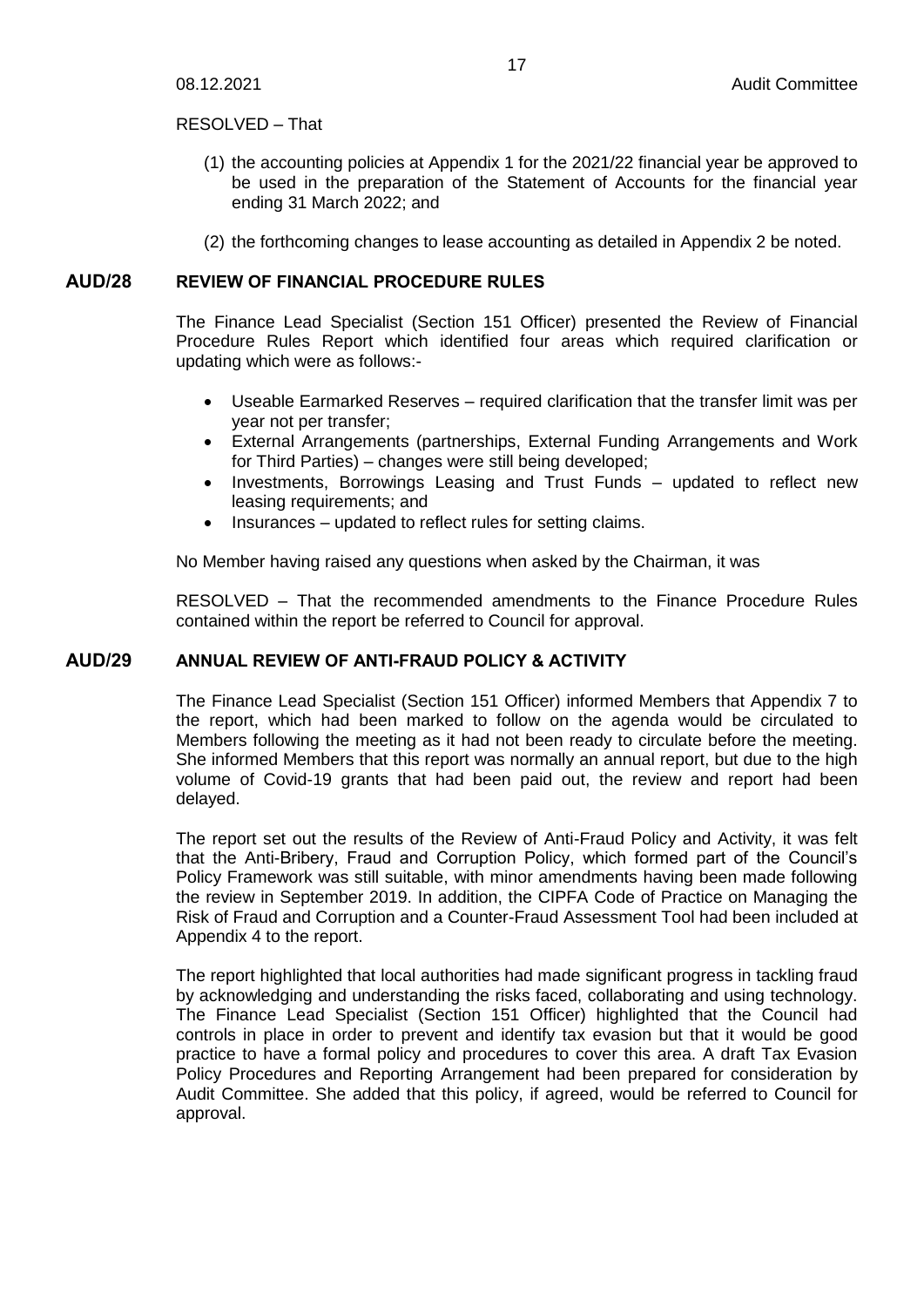### RESOLVED – That

- (1) the accounting policies at Appendix 1 for the 2021/22 financial year be approved to be used in the preparation of the Statement of Accounts for the financial year ending 31 March 2022; and
- (2) the forthcoming changes to lease accounting as detailed in Appendix 2 be noted.

## **AUD/28 REVIEW OF FINANCIAL PROCEDURE RULES**

The Finance Lead Specialist (Section 151 Officer) presented the Review of Financial Procedure Rules Report which identified four areas which required clarification or updating which were as follows:-

- Useable Earmarked Reserves required clarification that the transfer limit was per year not per transfer;
- External Arrangements (partnerships, External Funding Arrangements and Work for Third Parties) – changes were still being developed;
- Investments, Borrowings Leasing and Trust Funds updated to reflect new leasing requirements; and
- Insurances updated to reflect rules for setting claims.

No Member having raised any questions when asked by the Chairman, it was

RESOLVED – That the recommended amendments to the Finance Procedure Rules contained within the report be referred to Council for approval.

## **AUD/29 ANNUAL REVIEW OF ANTI-FRAUD POLICY & ACTIVITY**

The Finance Lead Specialist (Section 151 Officer) informed Members that Appendix 7 to the report, which had been marked to follow on the agenda would be circulated to Members following the meeting as it had not been ready to circulate before the meeting. She informed Members that this report was normally an annual report, but due to the high volume of Covid-19 grants that had been paid out, the review and report had been delayed.

The report set out the results of the Review of Anti-Fraud Policy and Activity, it was felt that the Anti-Bribery, Fraud and Corruption Policy, which formed part of the Council's Policy Framework was still suitable, with minor amendments having been made following the review in September 2019. In addition, the CIPFA Code of Practice on Managing the Risk of Fraud and Corruption and a Counter-Fraud Assessment Tool had been included at Appendix 4 to the report.

The report highlighted that local authorities had made significant progress in tackling fraud by acknowledging and understanding the risks faced, collaborating and using technology. The Finance Lead Specialist (Section 151 Officer) highlighted that the Council had controls in place in order to prevent and identify tax evasion but that it would be good practice to have a formal policy and procedures to cover this area. A draft Tax Evasion Policy Procedures and Reporting Arrangement had been prepared for consideration by Audit Committee. She added that this policy, if agreed, would be referred to Council for approval.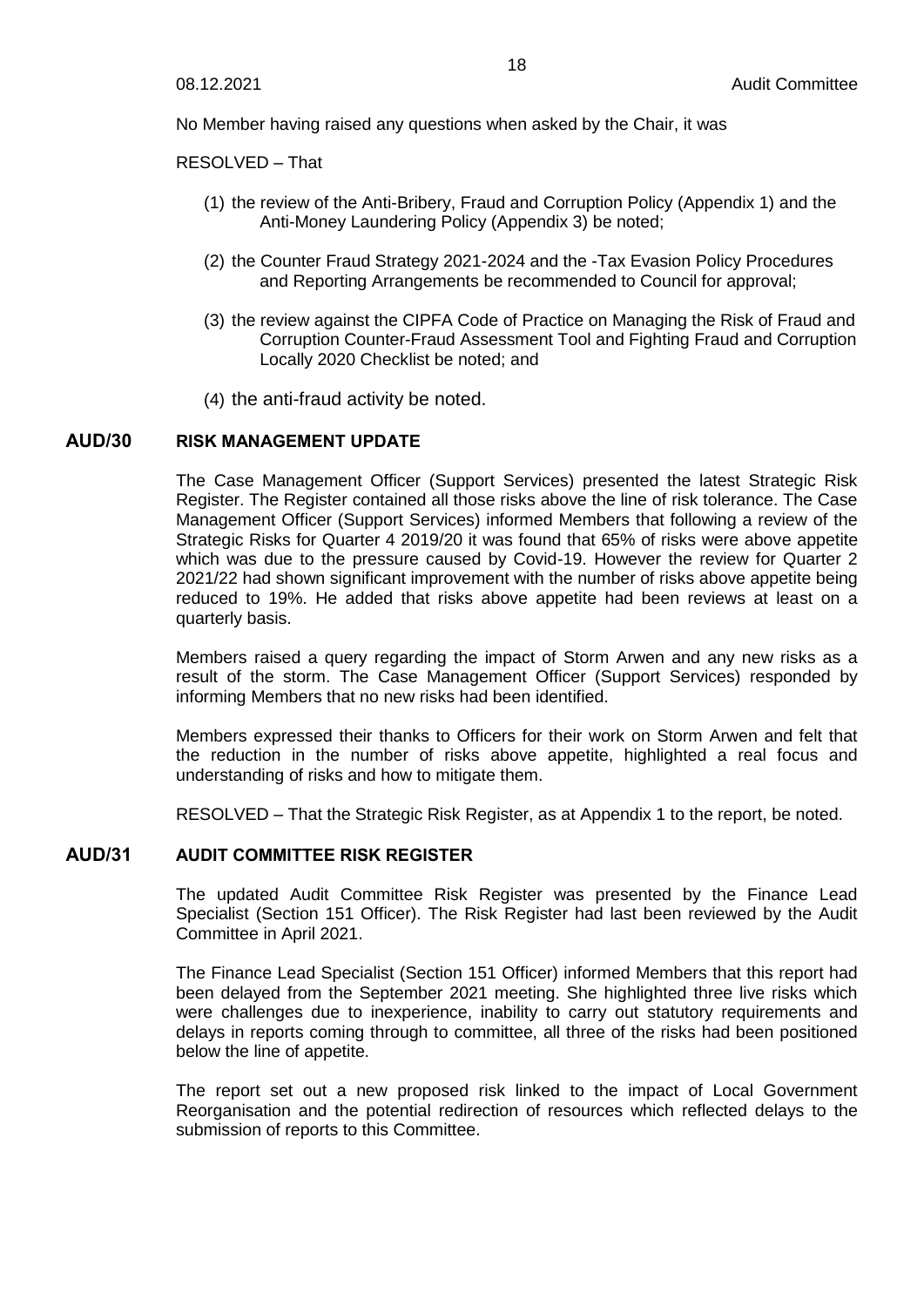No Member having raised any questions when asked by the Chair, it was

RESOLVED – That

- (1) the review of the Anti-Bribery, Fraud and Corruption Policy (Appendix 1) and the Anti-Money Laundering Policy (Appendix 3) be noted;
- (2) the Counter Fraud Strategy 2021-2024 and the -Tax Evasion Policy Procedures and Reporting Arrangements be recommended to Council for approval;
- (3) the review against the CIPFA Code of Practice on Managing the Risk of Fraud and Corruption Counter-Fraud Assessment Tool and Fighting Fraud and Corruption Locally 2020 Checklist be noted; and
- (4) the anti-fraud activity be noted.

### **AUD/30 RISK MANAGEMENT UPDATE**

The Case Management Officer (Support Services) presented the latest Strategic Risk Register. The Register contained all those risks above the line of risk tolerance. The Case Management Officer (Support Services) informed Members that following a review of the Strategic Risks for Quarter 4 2019/20 it was found that 65% of risks were above appetite which was due to the pressure caused by Covid-19. However the review for Quarter 2 2021/22 had shown significant improvement with the number of risks above appetite being reduced to 19%. He added that risks above appetite had been reviews at least on a quarterly basis.

Members raised a query regarding the impact of Storm Arwen and any new risks as a result of the storm. The Case Management Officer (Support Services) responded by informing Members that no new risks had been identified.

Members expressed their thanks to Officers for their work on Storm Arwen and felt that the reduction in the number of risks above appetite, highlighted a real focus and understanding of risks and how to mitigate them.

RESOLVED – That the Strategic Risk Register, as at Appendix 1 to the report, be noted.

#### **AUD/31 AUDIT COMMITTEE RISK REGISTER**

The updated Audit Committee Risk Register was presented by the Finance Lead Specialist (Section 151 Officer). The Risk Register had last been reviewed by the Audit Committee in April 2021.

The Finance Lead Specialist (Section 151 Officer) informed Members that this report had been delayed from the September 2021 meeting. She highlighted three live risks which were challenges due to inexperience, inability to carry out statutory requirements and delays in reports coming through to committee, all three of the risks had been positioned below the line of appetite.

The report set out a new proposed risk linked to the impact of Local Government Reorganisation and the potential redirection of resources which reflected delays to the submission of reports to this Committee.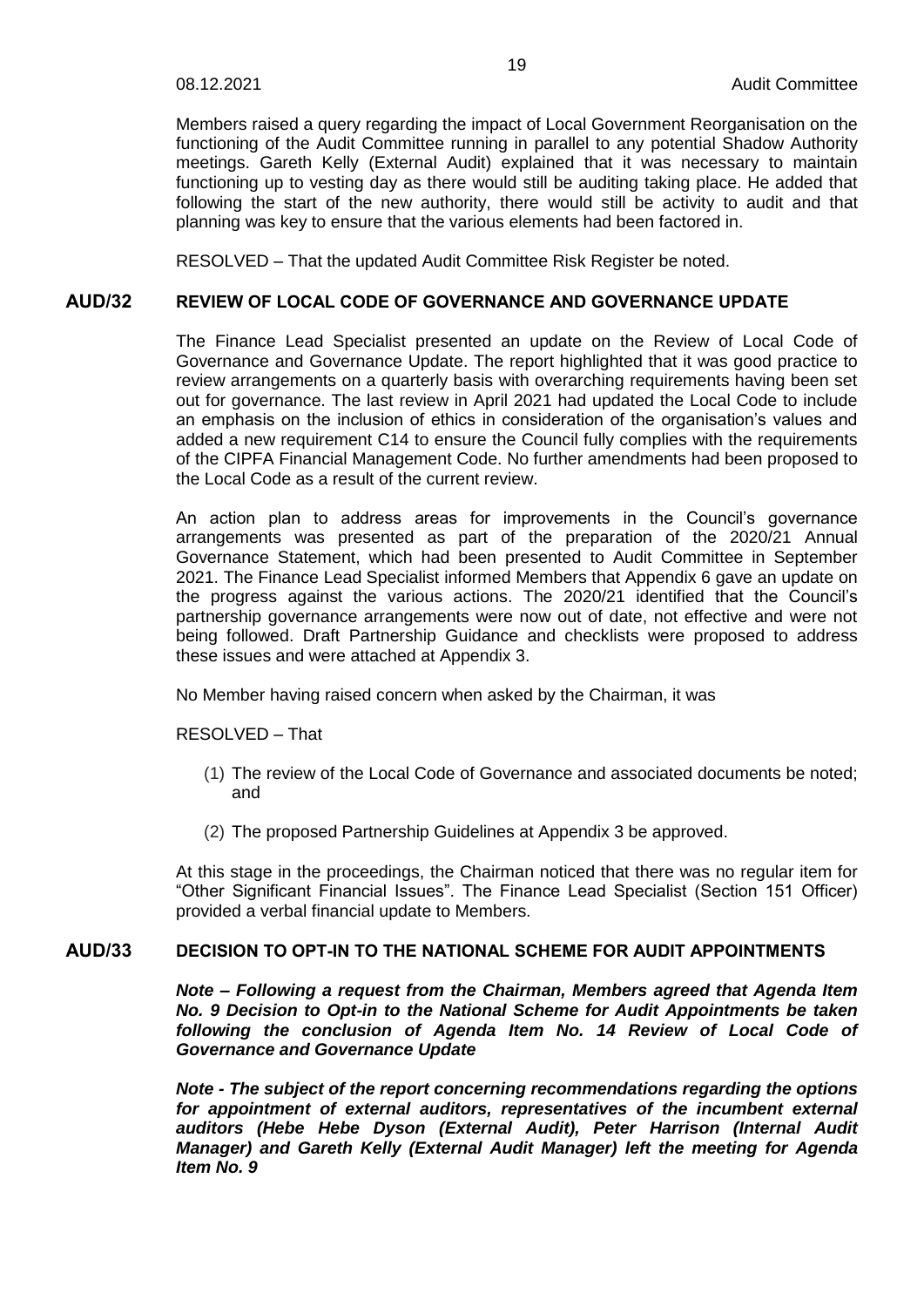Members raised a query regarding the impact of Local Government Reorganisation on the functioning of the Audit Committee running in parallel to any potential Shadow Authority meetings. Gareth Kelly (External Audit) explained that it was necessary to maintain functioning up to vesting day as there would still be auditing taking place. He added that following the start of the new authority, there would still be activity to audit and that planning was key to ensure that the various elements had been factored in.

RESOLVED – That the updated Audit Committee Risk Register be noted.

## **AUD/32 REVIEW OF LOCAL CODE OF GOVERNANCE AND GOVERNANCE UPDATE**

The Finance Lead Specialist presented an update on the Review of Local Code of Governance and Governance Update. The report highlighted that it was good practice to review arrangements on a quarterly basis with overarching requirements having been set out for governance. The last review in April 2021 had updated the Local Code to include an emphasis on the inclusion of ethics in consideration of the organisation's values and added a new requirement C14 to ensure the Council fully complies with the requirements of the CIPFA Financial Management Code. No further amendments had been proposed to the Local Code as a result of the current review.

An action plan to address areas for improvements in the Council's governance arrangements was presented as part of the preparation of the 2020/21 Annual Governance Statement, which had been presented to Audit Committee in September 2021. The Finance Lead Specialist informed Members that Appendix 6 gave an update on the progress against the various actions. The 2020/21 identified that the Council's partnership governance arrangements were now out of date, not effective and were not being followed. Draft Partnership Guidance and checklists were proposed to address these issues and were attached at Appendix 3.

No Member having raised concern when asked by the Chairman, it was

RESOLVED – That

- (1) The review of the Local Code of Governance and associated documents be noted; and
- (2) The proposed Partnership Guidelines at Appendix 3 be approved.

At this stage in the proceedings, the Chairman noticed that there was no regular item for "Other Significant Financial Issues". The Finance Lead Specialist (Section 151 Officer) provided a verbal financial update to Members.

## **AUD/33 DECISION TO OPT-IN TO THE NATIONAL SCHEME FOR AUDIT APPOINTMENTS**

*Note – Following a request from the Chairman, Members agreed that Agenda Item No. 9 Decision to Opt-in to the National Scheme for Audit Appointments be taken following the conclusion of Agenda Item No. 14 Review of Local Code of Governance and Governance Update*

*Note - The subject of the report concerning recommendations regarding the options for appointment of external auditors, representatives of the incumbent external auditors (Hebe Hebe Dyson (External Audit), Peter Harrison (Internal Audit Manager) and Gareth Kelly (External Audit Manager) left the meeting for Agenda Item No. 9*